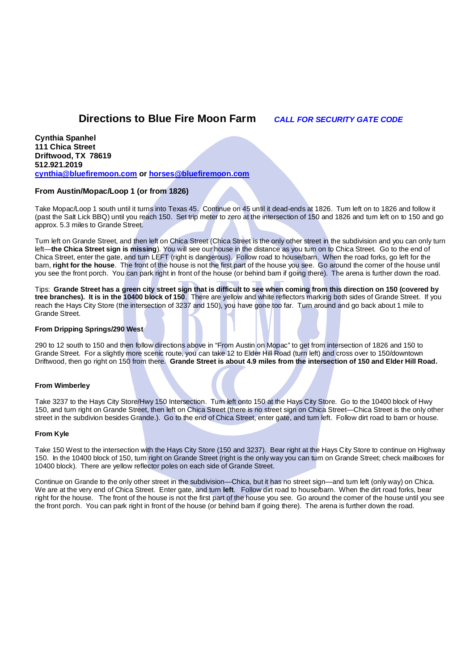# **Directions to Blue Fire Moon Farm** *CALL FOR SECURITY GATE CODE*

**Cynthia Spanhel 111 Chica Street Driftwood, TX 78619 512.921.2019 cynthia@bluefiremoon.com or horses@bluefiremoon.com**

## **From Austin/Mopac/Loop 1 (or from 1826)**

Take Mopac/Loop 1 south until it turns into Texas 45. Continue on 45 until it dead-ends at 1826. Turn left on to 1826 and follow it (past the Salt Lick BBQ) until you reach 150. Set trip meter to zero at the intersection of 150 and 1826 and turn left on to 150 and go approx. 5.3 miles to Grande Street.

Turn left on Grande Street, and then left on Chica Street (Chica Street is the only other street in the subdivision and you can only turn left—**the Chica Street sign is missing**). You will see our house in the distance as you turn on to Chica Street. Go to the end of Chica Street, enter the gate, and turn LEFT (right is dangerous). Follow road to house/barn. When the road forks, go left for the barn, **right for the house**. The front of the house is not the first part of the house you see. Go around the corner of the house until you see the front porch. You can park right in front of the house (or behind barn if going there). The arena is further down the road.

Tips: **Grande Street has a green city street sign that is difficult to see when coming from this direction on 150 (covered by tree branches). It is in the 10400 block of 150**. There are yellow and white reflectors marking both sides of Grande Street. If you reach the Hays City Store (the intersection of 3237 and 150), you have gone too far. Turn around and go back about 1 mile to Grande Street.

### **From Dripping Springs/290 West**

290 to 12 south to 150 and then follow directions above in "From Austin on Mopac" to get from intersection of 1826 and 150 to Grande Street. For a slightly more scenic route, you can take 12 to Elder Hill Road (turn left) and cross over to 150/downtown Driftwood, then go right on 150 from there. **Grande Street is about 4.9 miles from the intersection of 150 and Elder Hill Road.**

### **From Wimberley**

Take 3237 to the Hays City Store/Hwy 150 Intersection. Turn left onto 150 at the Hays City Store. Go to the 10400 block of Hwy 150, and turn right on Grande Street, then left on Chica Street (there is no street sign on Chica Street—Chica Street is the only other street in the subdivion besides Grande.). Go to the end of Chica Street, enter gate, and turn left. Follow dirt road to barn or house.

### **From Kyle**

Take 150 West to the intersection with the Hays City Store (150 and 3237). Bear right at the Hays City Store to continue on Highway 150. In the 10400 block of 150, turn right on Grande Street (right is the only way you can turn on Grande Street; check mailboxes for 10400 block). There are yellow reflector poles on each side of Grande Street.

Continue on Grande to the only other street in the subdivision—Chica, but it has no street sign—and turn left (only way) on Chica. We are at the very end of Chica Street. Enter gate, and turn **left**. Follow dirt road to house/barn. When the dirt road forks, bear right for the house. The front of the house is not the first part of the house you see. Go around the comer of the house until you see the front porch. You can park right in front of the house (or behind barn if going there). The arena is further down the road.